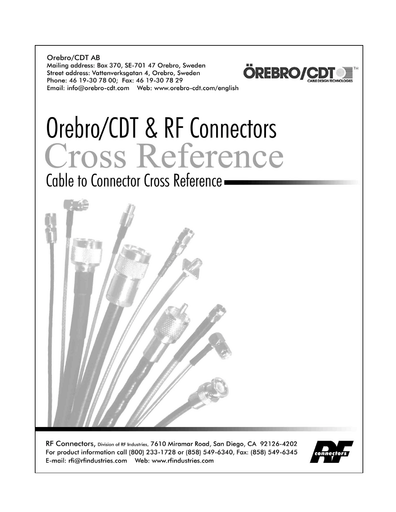Orebro/CDT AB Mailing address: Box 370, SE-701 47 Orebro, Sweden Street address: Vattenverksgatan 4, Orebro, Sweden Phone: 46 19-30 78 00; Fax: 46 19-30 78 29 



Orebro/CDT & RF Connectors<br>Cross Reference

Cable to Connector Cross Reference -



RF Connectors, Division of RF Industries, 7610 Miramar Road, San Diego, CA 92126-4202 For product information call (800) 233-1728 or (858) 549-6340, Fax: (858) 549-6345 

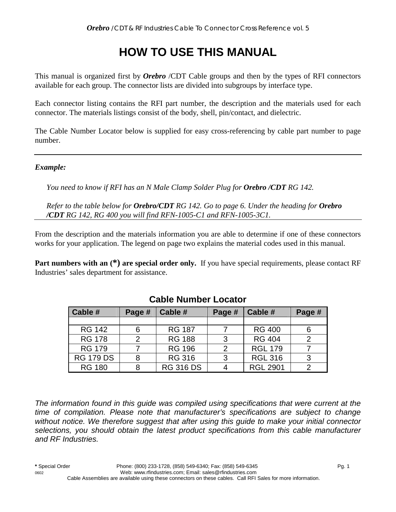# **HOW TO USE THIS MANUAL**

This manual is organized first by *Orebro* /CDT Cable groups and then by the types of RFI connectors available for each group. The connector lists are divided into subgroups by interface type.

Each connector listing contains the RFI part number, the description and the materials used for each connector. The materials listings consist of the body, shell, pin/contact, and dielectric.

The Cable Number Locator below is supplied for easy cross-referencing by cable part number to page number.

### *Example:*

*You need to know if RFI has an N Male Clamp Solder Plug for Orebro /CDT RG 142.* 

*Refer to the table below for Orebro/CDT RG 142. Go to page 6. Under the heading for Orebro /CDT RG 142, RG 400 you will find RFN-1005-C1 and RFN-1005-3C1.* 

From the description and the materials information you are able to determine if one of these connectors works for your application. The legend on page two explains the material codes used in this manual.

**Part numbers with an**  $(*)$  **are special order only.** If you have special requirements, please contact RF Industries' sales department for assistance.

| Cable #          | Page # | Cable #          | Page # | Cable #         | Page # |
|------------------|--------|------------------|--------|-----------------|--------|
|                  |        |                  |        |                 |        |
| <b>RG 142</b>    | 6      | <b>RG 187</b>    |        | <b>RG 400</b>   | 6      |
| <b>RG 178</b>    | 2      | <b>RG 188</b>    | 3      | <b>RG 404</b>   | っ      |
| <b>RG 179</b>    |        | <b>RG 196</b>    |        | <b>RGL 179</b>  |        |
| <b>RG 179 DS</b> |        | <b>RG 316</b>    | વ      | <b>RGL 316</b>  | 3      |
| <b>RG 180</b>    |        | <b>RG 316 DS</b> |        | <b>RGL 2901</b> |        |

### **Cable Number Locator**

*The information found in this guide was compiled using specifications that were current at the time of compilation. Please note that manufacturer's specifications are subject to change without notice. We therefore suggest that after using this guide to make your initial connector selections, you should obtain the latest product specifications from this cable manufacturer and RF Industries.*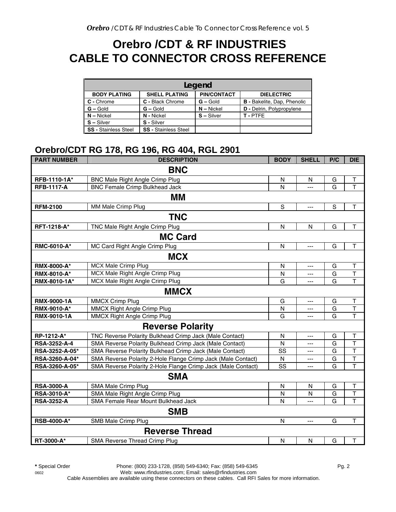## **Orebro /CDT & RF INDUSTRIES CABLE TO CONNECTOR CROSS REFERENCE**

| Legend                      |                             |                    |                                    |  |  |  |  |
|-----------------------------|-----------------------------|--------------------|------------------------------------|--|--|--|--|
| <b>BODY PLATING</b>         | <b>SHELL PLATING</b>        | <b>PIN/CONTACT</b> | <b>DIELECTRIC</b>                  |  |  |  |  |
| C - Chrome                  | C - Black Chrome            | $G -$ Gold         | <b>B</b> - Bakelite, Dap, Phenolic |  |  |  |  |
| $G - Gold$                  | $G - Gold$                  | $N -$ Nickel       | D - Delrin, Polypropylene          |  |  |  |  |
| $N - Nickel$                | N - Nickel                  | $S - S$ ilver      | T-PTFF                             |  |  |  |  |
| $S - Silver$                | S - Silver                  |                    |                                    |  |  |  |  |
| <b>SS</b> - Stainless Steel | <b>SS - Stainless Steel</b> |                    |                                    |  |  |  |  |

### **Orebro/CDT RG 178, RG 196, RG 404, RGL 2901**

| <b>PART NUMBER</b> | <b>DESCRIPTION</b>                                           | <b>BODY</b>  | <b>SHELL</b>   | P/C         | <b>DIE</b>              |
|--------------------|--------------------------------------------------------------|--------------|----------------|-------------|-------------------------|
|                    | <b>BNC</b>                                                   |              |                |             |                         |
| RFB-1110-1A*       | BNC Male Right Angle Crimp Plug                              | N            | N              | G           | T                       |
| <b>RFB-1117-A</b>  | <b>BNC Female Crimp Bulkhead Jack</b>                        | N            | ---            | G           | $\overline{\mathsf{T}}$ |
|                    | MМ                                                           |              |                |             |                         |
| <b>RFM-2100</b>    | MM Male Crimp Plug                                           | S            | ---            | $\mathbf S$ | $\mathsf T$             |
|                    | <b>TNC</b>                                                   |              |                |             |                         |
| RFT-1218-A*        | TNC Male Right Angle Crimp Plug                              | ${\sf N}$    | N              | G           | Τ                       |
|                    | <b>MC Card</b>                                               |              |                |             |                         |
| RMC-6010-A*        | MC Card Right Angle Crimp Plug                               | N            | $\overline{a}$ | G           | $\mathsf T$             |
|                    | <b>MCX</b>                                                   |              |                |             |                         |
| RMX-8000-A*        | MCX Male Crimp Plug                                          | N            | ---            | G           | Τ                       |
| RMX-8010-A*        | MCX Male Right Angle Crimp Plug                              | N            | ---            | G           | $\overline{\mathsf{T}}$ |
| RMX-8010-1A*       | MCX Male Right Angle Crimp Plug                              | G            | ---            | G           | $\overline{T}$          |
|                    | <b>MMCX</b>                                                  |              |                |             |                         |
| <b>RMX-9000-1A</b> | <b>MMCX Crimp Plug</b>                                       | G            | ---            | G           | $\mathsf T$             |
| RMX-9010-A*        | <b>MMCX Right Angle Crimp Plug</b>                           | N            | ---            | G           | $\overline{\mathsf{T}}$ |
| <b>RMX-9010-1A</b> | MMCX Right Angle Crimp Plug                                  | G            | ---            | G           | $\mathsf{T}$            |
|                    | <b>Reverse Polarity</b>                                      |              |                |             |                         |
| RP-1212-A*         | TNC Reverse Polarity Bulkhead Crimp Jack (Male Contact)      | N            | $\overline{a}$ | G           | Τ                       |
| RSA-3252-A-4       | SMA Reverse Polarity Bulkhead Crimp Jack (Male Contact)      | N            | $---$          | G           | $\mathsf{T}$            |
| RSA-3252-A-05*     | SMA Reverse Polarity Bulkhead Crimp Jack (Male Contact)      | SS           | ---            | G           | T                       |
| RSA-3260-A-04*     | SMA Reverse Polarity 2-Hole Flange Crimp Jack (Male Contact) | ${\sf N}$    | ---            | G           | $\overline{\mathsf{T}}$ |
| RSA-3260-A-05*     | SMA Reverse Polarity 2-Hole Flange Crimp Jack (Male Contact) | SS           | ---            | G           | $\overline{\mathsf{T}}$ |
|                    | <b>SMA</b>                                                   |              |                |             |                         |
| <b>RSA-3000-A</b>  | SMA Male Crimp Plug                                          | ${\sf N}$    | N              | G           | $\mathsf T$             |
| RSA-3010-A*        | SMA Male Right Angle Crimp Plug                              | N            | N              | G           | $\overline{\mathsf{T}}$ |
| <b>RSA-3252-A</b>  | SMA Female Rear Mount Bulkhead Jack                          | N            | ---            | G           | T                       |
|                    | <b>SMB</b>                                                   |              |                |             |                         |
| <b>RSB-4000-A*</b> | SMB Male Crimp Plug                                          | N            | $\overline{a}$ | G           | $\mathsf T$             |
|                    | <b>Reverse Thread</b>                                        |              |                |             |                         |
| RT-3000-A*         | SMA Reverse Thread Crimp Plug                                | $\mathsf{N}$ | N              | G           | T                       |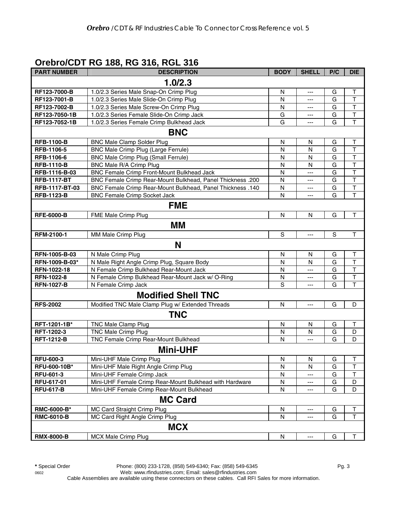### **Orebro/CDT RG 188, RG 316, RGL 316**

| <b>PART NUMBER</b> | <b>DESCRIPTION</b>                                         | <b>BODY</b>  | <b>SHELL</b>         | P/C         | <b>DIE</b>              |
|--------------------|------------------------------------------------------------|--------------|----------------------|-------------|-------------------------|
|                    | 1.0/2.3                                                    |              |                      |             |                         |
| RF123-7000-B       | 1.0/2.3 Series Male Snap-On Crimp Plug                     | N            | ---                  | G           | Τ                       |
| RF123-7001-B       | 1.0/2.3 Series Male Slide-On Crimp Plug                    | N            | ---                  | G           | $\mathsf{T}$            |
| RF123-7002-B       | 1.0/2.3 Series Male Screw-On Crimp Plug                    | N            | ---                  | G           | $\mathsf{T}$            |
| RF123-7050-1B      | 1.0/2.3 Series Female Slide-On Crimp Jack                  | G            | ---                  | G           | $\top$                  |
| RF123-7052-1B      | 1.0/2.3 Series Female Crimp Bulkhead Jack                  | G            | ---                  | G           | T                       |
|                    | <b>BNC</b>                                                 |              |                      |             |                         |
| <b>RFB-1100-B</b>  | <b>BNC Male Clamp Solder Plug</b>                          | N            | N                    | G           | T                       |
| RFB-1106-5         | BNC Male Crimp Plug (Large Ferrule)                        | N            | N                    | G           | $\mathsf T$             |
| RFB-1106-6         | <b>BNC Male Crimp Plug (Small Ferrule)</b>                 | N            | N                    | G           | $\mathsf T$             |
| <b>RFB-1110-B</b>  | BNC Male R/A Crimp Plug                                    | N            | N                    | G           | T                       |
| RFB-1116-B-03      | BNC Female Crimp Front-Mount Bulkhead Jack                 | N            | ---                  | G           | $\top$                  |
| <b>RFB-1117-BT</b> | BNC Female Crimp Rear-Mount Bulkhead, Panel Thickness .200 | N            | ---                  | G           | $\top$                  |
| RFB-1117-BT-03     | BNC Female Crimp Rear-Mount Bulkhead, Panel Thickness .140 | N            | $\scriptstyle\cdots$ | G           | $\overline{\mathsf{T}}$ |
| <b>RFB-1123-B</b>  | <b>BNC Female Crimp Socket Jack</b>                        | N            | ---                  | G           | $\mathsf T$             |
|                    | <b>FME</b>                                                 |              |                      |             |                         |
| <b>RFE-6000-B</b>  | FME Male Crimp Plug                                        | N            | N                    | G           | $\mathsf T$             |
|                    | <b>MM</b>                                                  |              |                      |             |                         |
| RFM-2100-1         | MM Male Crimp Plug                                         | S            | ---                  | $\mathbf S$ | $\mathsf T$             |
|                    | N                                                          |              |                      |             |                         |
| RFN-1005-B-03      | N Male Crimp Plug                                          | N            | N                    | G           | $\top$                  |
| RFN-1009-B-03*     | N Male Right Angle Crimp Plug, Square Body                 | N            | N                    | G           | T                       |
| RFN-1022-18        | N Female Crimp Bulkhead Rear-Mount Jack                    | N            | ---                  | G           | $\top$                  |
| RFN-1022-8         | N Female Crimp Bulkhead Rear-Mount Jack w/ O-Ring          | N            | ---                  | G           | $\overline{\mathsf{T}}$ |
| <b>RFN-1027-B</b>  | N Female Crimp Jack                                        | S            | ---                  | G           | T                       |
|                    | <b>Modified Shell TNC</b>                                  |              |                      |             |                         |
| <b>RFS-2002</b>    | Modified TNC Male Clamp Plug w/ Extended Threads           | $\mathsf{N}$ | ---                  | G           | D                       |
|                    | <b>TNC</b>                                                 |              |                      |             |                         |
| RFT-1201-1B*       | <b>TNC Male Clamp Plug</b>                                 | N            | N                    | G           | $\top$                  |
| RFT-1202-3         | <b>TNC Male Crimp Plug</b>                                 | N            | N                    | G           | D                       |
| <b>RFT-1212-B</b>  | TNC Female Crimp Rear-Mount Bulkhead                       | N            | ---                  | G           | D                       |
|                    | <b>Mini-UHF</b>                                            |              |                      |             |                         |
| <b>RFU-600-3</b>   | Mini-UHF Male Crimp Plug                                   | N            | N                    | G           | Т                       |
| RFU-600-10B*       | Mini-UHF Male Right Angle Crimp Plug                       | N            | N                    | G           | T                       |
| <b>RFU-601-3</b>   | Mini-UHF Female Crimp Jack                                 | N            | ---                  | G           | T                       |
| RFU-617-01         | Mini-UHF Female Crimp Rear-Mount Bulkhead with Hardware    | N            | ---                  | G           | D                       |
| <b>RFU-617-B</b>   | Mini-UHF Female Crimp Rear-Mount Bulkhead                  | N            | ---                  | G           | D                       |
|                    | <b>MC Card</b>                                             |              |                      |             |                         |
| RMC-6000-B*        | MC Card Straight Crimp Plug                                | N            |                      | G           | T                       |
| <b>RMC-6010-B</b>  | MC Card Right Angle Crimp Plug                             | N            | ---                  | G           | $\mathsf T$             |
|                    | <b>MCX</b>                                                 |              |                      |             |                         |
| <b>RMX-8000-B</b>  | MCX Male Crimp Plug                                        | N            | ---                  | G           | Т                       |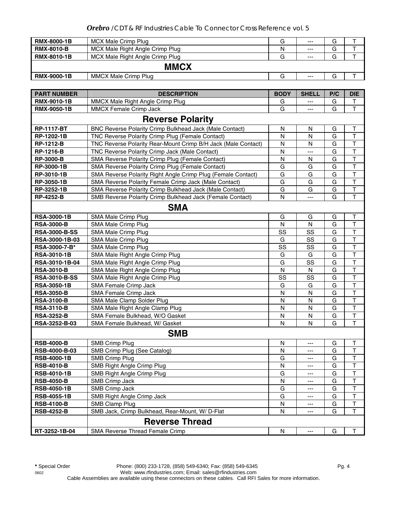#### *Orebro* /CDT & RF Industries Cable To Connector Cross Reference vol. 5

| <b>RMX-8000-1B</b> | MCX Male Crimp Plug             | G | $- - -$ | G |  |  |
|--------------------|---------------------------------|---|---------|---|--|--|
| <b>RMX-8010-B</b>  | MCX Male Right Angle Crimp Plug | N | $- - -$ | G |  |  |
| <b>RMX-8010-1B</b> | MCX Male Right Angle Crimp Plug | G | $---$   | G |  |  |
| <b>MMCX</b>        |                                 |   |         |   |  |  |
| <b>RMX-9000-1B</b> | <b>MMCX Male Crimp Plug</b>     | G | $---$   | G |  |  |

| <b>PART NUMBER</b>      | <b>DESCRIPTION</b>                                             | <b>BODY</b>  | <b>SHELL</b> | P/C | <b>DIE</b>              |  |
|-------------------------|----------------------------------------------------------------|--------------|--------------|-----|-------------------------|--|
| <b>RMX-9010-1B</b>      | MMCX Male Right Angle Crimp Plug                               | G            |              | G   | T                       |  |
| RMX-9050-1B             | MMCX Female Crimp Jack                                         | G            |              | G   | $\mathsf{T}$            |  |
| <b>Reverse Polarity</b> |                                                                |              |              |     |                         |  |
| <b>RP-1117-BT</b>       | <b>BNC Reverse Polarity Crimp Bulkhead Jack (Male Contact)</b> | N            | N            | G   | Τ                       |  |
| RP-1202-1B              | TNC Reverse Polarity Crimp Plug (Female Contact)               | ${\sf N}$    | $\mathsf{N}$ | G   | $\overline{\mathsf{T}}$ |  |
| <b>RP-1212-B</b>        | TNC Reverse Polarity Rear-Mount Crimp B/H Jack (Male Contact)  | N            | N            | G   | T                       |  |
| <b>RP-1216-B</b>        | TNC Reverse Polarity Crimp Jack (Male Contact)                 | N            | ---          | G   | T                       |  |
| <b>RP-3000-B</b>        | SMA Reverse Polarity Crimp Plug (Female Contact)               | N            | N            | G   | $\overline{\mathsf{T}}$ |  |
| RP-3000-1B              | SMA Reverse Polarity Crimp Plug (Female Contact)               | G            | G            | G   | $\overline{\mathsf{T}}$ |  |
| RP-3010-1B              | SMA Reverse Polarity Right Angle Crimp Plug (Female Contact)   | G            | G            | G   | $\mathsf T$             |  |
| RP-3050-1B              | SMA Reverse Polarity Female Crimp Jack (Male Contact)          | G            | G            | G   | $\overline{\mathsf{T}}$ |  |
| RP-3252-1B              | SMA Reverse Polarity Crimp Bulkhead Jack (Male Contact)        | G            | G            | G   | $\overline{\mathsf{T}}$ |  |
| <b>RP-4252-B</b>        | SMB Reverse Polarity Crimp Bulkhead Jack (Female Contact)      | $\mathsf{N}$ | ---          | G   | $\overline{\mathsf{T}}$ |  |
|                         | <b>SMA</b>                                                     |              |              |     |                         |  |
| <b>RSA-3000-1B</b>      | SMA Male Crimp Plug                                            | G            | G            | G   | $\sf T$                 |  |
| <b>RSA-3000-B</b>       | SMA Male Crimp Plug                                            | $\mathsf{N}$ | $\mathsf{N}$ | G   | $\overline{\mathsf{T}}$ |  |
| <b>RSA-3000-B-SS</b>    | SMA Male Crimp Plug                                            | SS           | SS           | G   | $\overline{\mathsf{T}}$ |  |
| RSA-3000-1B-03          | SMA Male Crimp Plug                                            | G            | SS           | G   | $\overline{\mathsf{T}}$ |  |
| RSA-3000-7-B*           | SMA Male Crimp Plug                                            | SS           | SS           | G   | $\overline{\mathsf{T}}$ |  |
| <b>RSA-3010-1B</b>      | SMA Male Right Angle Crimp Plug                                | G            | G            | G   | $\mathsf T$             |  |
| RSA-3010-1B-04          | SMA Male Right Angle Crimp Plug                                | G            | SS           | G   | $\overline{\mathsf{T}}$ |  |
| <b>RSA-3010-B</b>       | SMA Male Right Angle Crimp Plug                                | ${\sf N}$    | N            | G   | $\overline{\mathsf{T}}$ |  |
| <b>RSA-3010-B-SS</b>    | SMA Male Right Angle Crimp Plug                                | SS           | SS           | G   | $\overline{\mathsf{T}}$ |  |
| <b>RSA-3050-1B</b>      | SMA Female Crimp Jack                                          | G            | G            | G   | T                       |  |
| <b>RSA-3050-B</b>       | SMA Female Crimp Jack                                          | N            | N            | G   | $\overline{\mathsf{T}}$ |  |
| <b>RSA-3100-B</b>       | SMA Male Clamp Solder Plug                                     | N            | N            | G   | $\mathsf T$             |  |
| <b>RSA-3110-B</b>       | SMA Male Right Angle Clamp Plug                                | N            | N            | G   | $\mathsf T$             |  |
| <b>RSA-3252-B</b>       | SMA Female Bulkhead, W/O Gasket                                | N            | N            | G   | $\mathsf T$             |  |
| RSA-3252-B-03           | SMA Female Bulkhead, W/ Gasket                                 | N            | N            | G   | $\top$                  |  |
|                         | <b>SMB</b>                                                     |              |              |     |                         |  |
| <b>RSB-4000-B</b>       | <b>SMB Crimp Plug</b>                                          | N            | ---          | G   | Τ                       |  |
| RSB-4000-B-03           | SMB Crimp Plug (See Catalog)                                   | N            | ---          | G   | $\sf T$                 |  |
| <b>RSB-4000-1B</b>      | <b>SMB Crimp Plug</b>                                          | G            | ---          | G   | $\mathsf T$             |  |
| <b>RSB-4010-B</b>       | SMB Right Angle Crimp Plug                                     | N            | ---          | G   | T                       |  |
| <b>RSB-4010-1B</b>      | SMB Right Angle Crimp Plug                                     | G            | ---          | G   | T                       |  |
| <b>RSB-4050-B</b>       | SMB Crimp Jack                                                 | N            | ---          | G   | $\overline{\mathsf{T}}$ |  |
| <b>RSB-4050-1B</b>      | SMB Crimp Jack                                                 | G            | ---          | G   | Τ                       |  |
| <b>RSB-4055-1B</b>      | SMB Right Angle Crimp Jack                                     | G            | ---          | G   | T                       |  |
| <b>RSB-4100-B</b>       | SMB Clamp Plug                                                 | N            |              | G   | T                       |  |
| <b>RSB-4252-B</b>       | SMB Jack, Crimp Bulkhead, Rear-Mount, W/ D-Flat                | N            | ---          | G   | Т                       |  |
|                         | <b>Reverse Thread</b>                                          |              |              |     |                         |  |
| RT-3252-1B-04           | SMA Reverse Thread Female Crimp                                | N            | ---          | G   | Т                       |  |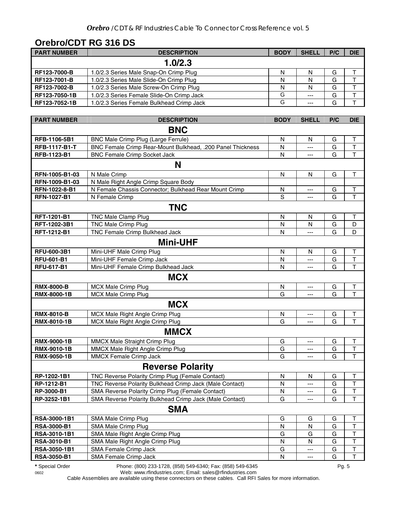## **Orebro/CDT RG 316 DS**

| <b>PART NUMBER</b> | <b>DESCRIPTION</b>                        | <b>BODY</b> | <b>SHELL</b> | P/C | <b>DIE</b> |
|--------------------|-------------------------------------------|-------------|--------------|-----|------------|
|                    | 1.0/2.3                                   |             |              |     |            |
| RF123-7000-B       | 1.0/2.3 Series Male Snap-On Crimp Plug    | N           | N            | G   |            |
| RF123-7001-B       | 1.0/2.3 Series Male Slide-On Crimp Plug   | Ν           | N            | G   |            |
| RF123-7002-B       | 1.0/2.3 Series Male Screw-On Crimp Plug   | N           | N            | G   |            |
| RF123-7050-1B      | 1.0/2.3 Series Female Slide-On Crimp Jack | G           | $---$        | G   |            |
| RF123-7052-1B      | 1.0/2.3 Series Female Bulkhead Crimp Jack | G           | $---$        | G   |            |

| <b>PART NUMBER</b>   | <b>DESCRIPTION</b>                                         | <b>BODY</b> | <b>SHELL</b>              | P/C | <b>DIE</b>              |
|----------------------|------------------------------------------------------------|-------------|---------------------------|-----|-------------------------|
|                      | <b>BNC</b>                                                 |             |                           |     |                         |
| RFB-1106-5B1         | BNC Male Crimp Plug (Large Ferrule)                        | N           | N                         | G   | $\mathsf T$             |
| <b>RFB-1117-B1-T</b> | BNC Female Crimp Rear-Mount Bulkhead, .200 Panel Thickness | N           | ---                       | G   | $\top$                  |
| RFB-1123-B1          | <b>BNC Female Crimp Socket Jack</b>                        | N           | $---$                     | G   | $\mathsf T$             |
|                      | N                                                          |             |                           |     |                         |
| RFN-1005-B1-03       | N Male Crimp                                               | N           | N                         | G   | $\top$                  |
| RFN-1009-B1-03       | N Male Right Angle Crimp Square Body                       |             |                           |     |                         |
| RFN-1022-8-B1        | N Female Chassis Connector; Bulkhead Rear Mount Crimp      | N           | $---$                     | G   | T                       |
| <b>RFN-1027-B1</b>   | N Female Crimp                                             | S           | ---                       | G   | T                       |
|                      | <b>TNC</b>                                                 |             |                           |     |                         |
| RFT-1201-B1          | TNC Male Clamp Plug                                        | N           | N                         | G   | $\mathsf T$             |
| RFT-1202-3B1         | TNC Male Crimp Plug                                        | N           | N                         | G   | D                       |
| RFT-1212-B1          | TNC Female Crimp Bulkhead Jack                             | N           | $\overline{a}$            | G   | D                       |
|                      | <b>Mini-UHF</b>                                            |             |                           |     |                         |
| <b>RFU-600-3B1</b>   | Mini-UHF Male Crimp Plug                                   | N           | N                         | G   | $\mathsf T$             |
| <b>RFU-601-B1</b>    | Mini-UHF Female Crimp Jack                                 | N           | ---                       | G   | $\overline{\mathsf{T}}$ |
| <b>RFU-617-B1</b>    | Mini-UHF Female Crimp Bulkhead Jack                        | N           | ---                       | G   | $\overline{1}$          |
|                      | <b>MCX</b>                                                 |             |                           |     |                         |
| <b>RMX-8000-B</b>    | <b>MCX Male Crimp Plug</b>                                 | N           | ---                       | G   | $\mathsf T$             |
| RMX-8000-1B          | <b>MCX Male Crimp Plug</b>                                 | G           | ---                       | G   | $\overline{\mathsf{T}}$ |
|                      | <b>MCX</b>                                                 |             |                           |     |                         |
| <b>RMX-8010-B</b>    | MCX Male Right Angle Crimp Plug                            | N           | $---$                     | G   | T                       |
| RMX-8010-1B          | MCX Male Right Angle Crimp Plug                            | G           | ---                       | G   | $\overline{\mathsf{T}}$ |
|                      | <b>MMCX</b>                                                |             |                           |     |                         |
| RMX-9000-1B          | MMCX Male Straight Crimp Plug                              | G           | $---$                     | G   | T                       |
| RMX-9010-1B          | MMCX Male Right Angle Crimp Plug                           | G           | $\qquad \qquad -\qquad -$ | G   | $\top$                  |
| <b>RMX-9050-1B</b>   | MMCX Female Crimp Jack                                     | G           | ---                       | G   | $\mathsf T$             |
|                      | <b>Reverse Polarity</b>                                    |             |                           |     |                         |
| RP-1202-1B1          | TNC Reverse Polarity Crimp Plug (Female Contact)           | N           | N                         | G   | $\mathsf T$             |
| RP-1212-B1           | TNC Reverse Polarity Bulkhead Crimp Jack (Male Contact)    | N           | $---$                     | G   | $\top$                  |
| RP-3000-B1           | SMA Reverse Polarity Crimp Plug (Female Contact)           | N           | ---                       | G   | $\mathsf T$             |
| RP-3252-1B1          | SMA Reverse Polarity Bulkhead Crimp Jack (Male Contact)    | G           | ---                       | G   | $\mathsf{T}$            |
|                      | <b>SMA</b>                                                 |             |                           |     |                         |
| RSA-3000-1B1         | SMA Male Crimp Plug                                        | G           | G                         | G   | Т                       |
| <b>RSA-3000-B1</b>   | SMA Male Crimp Plug                                        | N           | N                         | G   | T                       |
| RSA-3010-1B1         | SMA Male Right Angle Crimp Plug                            | G           | G                         | G   | T                       |
| <b>RSA-3010-B1</b>   | SMA Male Right Angle Crimp Plug                            | ${\sf N}$   | N                         | G   | T                       |
| RSA-3050-1B1         | SMA Female Crimp Jack                                      | G           | ---                       | G   | T                       |
| <b>RSA-3050-B1</b>   | SMA Female Crimp Jack                                      | N           | ---                       | G   | Т                       |

**\*** Special Order Phone: (800) 233-1728, (858) 549-6340; Fax: (858) 549-6345 Pg. 5

0602 Web: www.rfindustries.com; Email: sales@rfindustries.com

Cable Assemblies are available using these connectors on these cables. Call RFI Sales for more information.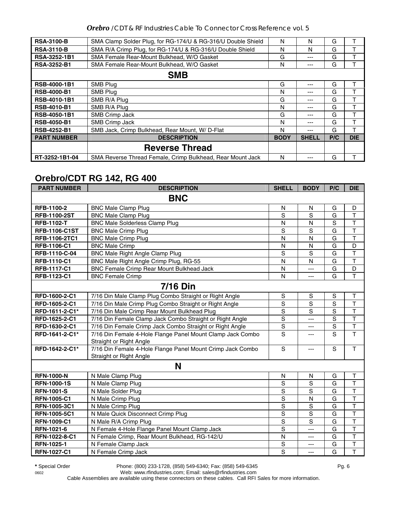*Orebro* /CDT & RF Industries Cable To Connector Cross Reference vol. 5

| <b>RSA-3100-B</b>   | SMA Clamp Solder Plug, for RG-174/U & RG-316/U Double Shield | N           | N            | G   | т          |  |
|---------------------|--------------------------------------------------------------|-------------|--------------|-----|------------|--|
| <b>RSA-3110-B</b>   | SMA R/A Crimp Plug, for RG-174/U & RG-316/U Double Shield    | N           | N            | G   |            |  |
| <b>RSA-3252-1B1</b> | SMA Female Rear-Mount Bulkhead, W/O Gasket                   | G           | ---          | G   |            |  |
| <b>RSA-3252-B1</b>  | SMA Female Rear-Mount Bulkhead, W/O Gasket                   | N           | ---          | G   |            |  |
|                     | <b>SMB</b>                                                   |             |              |     |            |  |
| <b>RSB-4000-1B1</b> | SMB Plug                                                     | G           | ---          | G   |            |  |
| <b>RSB-4000-B1</b>  | SMB Plug                                                     | N           | ---          | G   |            |  |
| <b>RSB-4010-1B1</b> | SMB R/A Plug                                                 | G           | ---          | G   |            |  |
| <b>RSB-4010-B1</b>  | SMB R/A Plug                                                 | N           | ---          | G   |            |  |
| <b>RSB-4050-1B1</b> | <b>SMB Crimp Jack</b>                                        | G           | ---          | G   |            |  |
| <b>RSB-4050-B1</b>  | SMB Crimp Jack                                               | N           | ---          | G   |            |  |
| <b>RSB-4252-B1</b>  | SMB Jack, Crimp Bulkhead, Rear Mount, W/D-Flat               | N           | ---          | G   |            |  |
| <b>PART NUMBER</b>  | <b>DESCRIPTION</b>                                           | <b>BODY</b> | <b>SHELL</b> | P/C | <b>DIE</b> |  |
|                     | <b>Reverse Thread</b>                                        |             |              |     |            |  |
| RT-3252-1B1-04      | SMA Reverse Thread Female, Crimp Bulkhead, Rear Mount Jack   | N           | ---          | G   |            |  |

## **Orebro/CDT RG 142, RG 400**

| <b>PART NUMBER</b>   | <b>DESCRIPTION</b>                                                                    | <b>SHELL</b>   | <b>BODY</b>    | P/C            | <b>DIE</b>              |  |  |  |
|----------------------|---------------------------------------------------------------------------------------|----------------|----------------|----------------|-------------------------|--|--|--|
|                      | <b>BNC</b>                                                                            |                |                |                |                         |  |  |  |
| RFB-1100-2           | <b>BNC Male Clamp Plug</b>                                                            | $\mathsf{N}$   | $\mathsf{N}$   | G              | D                       |  |  |  |
| <b>RFB-1100-2ST</b>  | <b>BNC Male Clamp Plug</b>                                                            | S              | S              | G              | $\overline{\mathsf{T}}$ |  |  |  |
| <b>RFB-1102-T</b>    | <b>BNC Male Solderless Clamp Plug</b>                                                 | N              | N              | $\overline{s}$ | $\overline{\mathsf{T}}$ |  |  |  |
| <b>RFB-1106-C1ST</b> | <b>BNC Male Crimp Plug</b>                                                            | S              | S              | $\overline{G}$ | $\overline{\mathsf{T}}$ |  |  |  |
| <b>RFB-1106-2TC1</b> | <b>BNC Male Crimp Plug</b>                                                            | N              | N              | G              | $\overline{\mathsf{T}}$ |  |  |  |
| <b>RFB-1106-C1</b>   | <b>BNC Male Crimp</b>                                                                 | N              | $\mathsf{N}$   | G              | D                       |  |  |  |
| RFB-1110-C-04        | <b>BNC Male Right Angle Clamp Plug</b>                                                | S              | S              | G              | $\mathsf T$             |  |  |  |
| RFB-1110-C1          | BNC Male Right Angle Crimp Plug, RG-55                                                | N              | N              | G              | $\overline{\mathsf{T}}$ |  |  |  |
| <b>RFB-1117-C1</b>   | <b>BNC Female Crimp Rear Mount Bulkhead Jack</b>                                      | $\mathsf{N}$   | ---            | G              | D                       |  |  |  |
| RFB-1123-C1          | <b>BNC Female Crimp</b>                                                               | $\mathsf{N}$   | $---$          | G              | $\overline{\mathsf{T}}$ |  |  |  |
| <b>7/16 Din</b>      |                                                                                       |                |                |                |                         |  |  |  |
| RFD-1600-2-C1        | 7/16 Din Male Clamp Plug Combo Straight or Right Angle                                | $\mathbf S$    | $\mathbf S$    | S              | $\mathsf T$             |  |  |  |
| RFD-1605-2-C1        | 7/16 Din Male Crimp Plug Combo Straight or Right Angle                                | $\mathbf S$    | S              | S              | $\overline{\mathsf{T}}$ |  |  |  |
| RFD-1611-2-C1*       | 7/16 Din Male Crimp Rear Mount Bulkhead Plug                                          | $\mathbf S$    | S              | $\overline{s}$ | $\overline{\mathsf{T}}$ |  |  |  |
| RFD-1625-2-C1        | 7/16 Din Female Clamp Jack Combo Straight or Right Angle                              | $\overline{s}$ | $\overline{a}$ | S              | $\overline{\mathsf{T}}$ |  |  |  |
| RFD-1630-2-C1        | 7/16 Din Female Crimp Jack Combo Straight or Right Angle                              | $\mathbf S$    | ---            | $\overline{S}$ | $\mathsf T$             |  |  |  |
| RFD-1641-2-C1*       | 7/16 Din Female 4-Hole Flange Panel Mount Clamp Jack Combo                            | S              | ---            | S              | $\overline{\mathsf{T}}$ |  |  |  |
|                      | Straight or Right Angle                                                               |                |                |                |                         |  |  |  |
| RFD-1642-2-C1*       | 7/16 Din Female 4-Hole Flange Panel Mount Crimp Jack Combo<br>Straight or Right Angle | S              | $---$          | S              | T                       |  |  |  |
|                      | N                                                                                     |                |                |                |                         |  |  |  |
| <b>RFN-1000-N</b>    | N Male Clamp Plug                                                                     | N              | N              | G              | $\mathsf T$             |  |  |  |
| <b>RFN-1000-1S</b>   | N Male Clamp Plug                                                                     | S              | S              | G              | $\overline{\mathsf{T}}$ |  |  |  |
| <b>RFN-1001-S</b>    | N Male Solder Plug                                                                    | S              | S              | G              | $\mathsf{T}$            |  |  |  |
| <b>RFN-1005-C1</b>   | N Male Crimp Plug                                                                     | $\mathbf S$    | N              | G              | $\overline{\mathsf{T}}$ |  |  |  |
| RFN-1005-3C1         | N Male Crimp Plug                                                                     | $\mathbf S$    | S              | G              | T                       |  |  |  |
| RFN-1005-5C1         | N Male Quick Disconnect Crimp Plug                                                    | S              | S              | G              | $\mathsf{T}$            |  |  |  |
| <b>RFN-1009-C1</b>   | N Male R/A Crimp Plug                                                                 | S              | $\overline{s}$ | G              | $\overline{\mathsf{T}}$ |  |  |  |
| RFN-1021-6           | N Female 4-Hole Flange Panel Mount Clamp Jack                                         | S              | ---            | G              | $\overline{\mathsf{T}}$ |  |  |  |
| RFN-1022-8-C1        | N Female Crimp, Rear Mount Bulkhead, RG-142/U                                         | N              | ---            | G              | $\overline{\mathsf{T}}$ |  |  |  |
| RFN-1025-1           | N Female Clamp Jack                                                                   | S              | ---            | G              | $\overline{\mathsf{T}}$ |  |  |  |
| <b>RFN-1027-C1</b>   | N Female Crimp Jack                                                                   | S              | ---            | G              | T                       |  |  |  |

0602 Web: www.rfindustries.com; Email: sales@rfindustries.com Cable Assemblies are available using these connectors on these cables. Call RFI Sales for more information.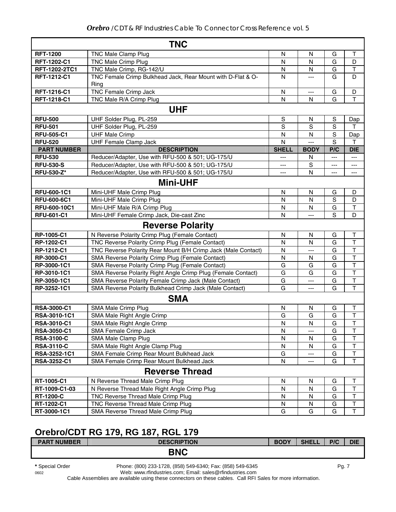|                    | <b>TNC</b>                                                    |               |                |                |                         |
|--------------------|---------------------------------------------------------------|---------------|----------------|----------------|-------------------------|
| <b>RFT-1200</b>    | TNC Male Clamp Plug                                           | N             | N              | G              | Т                       |
| RFT-1202-C1        | TNC Male Crimp Plug                                           | N             | N              | G              | D                       |
| RFT-1202-2TC1      | TNC Male Crimp, RG-142/U                                      | N             | N              | G              | $\mathsf T$             |
| RFT-1212-C1        | TNC Female Crimp Bulkhead Jack, Rear Mount with D-Flat & O-   | N             | ---            | G              | D                       |
|                    | Ring                                                          |               |                |                |                         |
| RFT-1216-C1        | TNC Female Crimp Jack                                         | $\mathsf{N}$  | $\overline{a}$ | G              | D                       |
| RFT-1218-C1        | TNC Male R/A Crimp Plug                                       | N             | N              | G              | T                       |
|                    | <b>UHF</b>                                                    |               |                |                |                         |
| <b>RFU-500</b>     | UHF Solder Plug, PL-259                                       | ${\mathsf S}$ | N              | $\mathbf S$    | Dap                     |
| <b>RFU-501</b>     | UHF Solder Plug, PL-259                                       | S             | S              | $\overline{s}$ | т                       |
| <b>RFU-505-C1</b>  | <b>UHF Male Crimp</b>                                         | N             | N              | $\overline{s}$ | Dap                     |
| <b>RFU-520</b>     | <b>UHF Female Clamp Jack</b>                                  | N             | ---            | $\overline{s}$ | T                       |
| <b>PART NUMBER</b> | <b>DESCRIPTION</b>                                            | <b>SHELL</b>  | <b>BODY</b>    | P/C            | <b>DIE</b>              |
| <b>RFU-530</b>     | Reducer/Adapter, Use with RFU-500 & 501; UG-175/U             | ---           | N              | $---$          | ---                     |
| <b>RFU-530-S</b>   | Reducer/Adapter, Use with RFU-500 & 501; UG-175/U             | ---           | S              | ---            | ---                     |
| <b>RFU-530-Z*</b>  | Reducer/Adapter, Use with RFU-500 & 501; UG-175/U             | ---           | N              | ---            | ---                     |
|                    | <b>Mini-UHF</b>                                               |               |                |                |                         |
| RFU-600-1C1        | Mini-UHF Male Crimp Plug                                      | N             | N              | G              | D                       |
| <b>RFU-600-6C1</b> | Mini-UHF Male Crimp Plug                                      | N             | N              | $\mathbf S$    | D                       |
| RFU-600-10C1       | Mini-UHF Male R/A Crimp Plug                                  | N             | N              | G              | $\top$                  |
| <b>RFU-601-C1</b>  | Mini-UHF Female Crimp Jack, Die-cast Zinc                     | N             | ---            | S              | D                       |
|                    | <b>Reverse Polarity</b>                                       |               |                |                |                         |
| RP-1005-C1         | N Reverse Polarity Crimp Plug (Female Contact)                | $\mathsf{N}$  | $\mathsf{N}$   | G              | $\mathsf T$             |
| RP-1202-C1         | TNC Reverse Polarity Crimp Plug (Female Contact)              | N             | N              | G              | $\overline{\mathsf{T}}$ |
| RP-1212-C1         | TNC Reverse Polarity Rear Mount B/H Crimp Jack (Male Contact) | N             | ---            | G              | $\overline{\mathsf{T}}$ |
| RP-3000-C1         | SMA Reverse Polarity Crimp Plug (Female Contact)              | N             | N              | G              | T                       |
| RP-3000-1C1        | SMA Reverse Polarity Crimp Plug (Female Contact)              | G             | G              | G              | $\overline{\mathsf{T}}$ |
| RP-3010-1C1        | SMA Reverse Polarity Right Angle Crimp Plug (Female Contact)  | G             | G              | G              | $\overline{\mathsf{T}}$ |
| RP-3050-1C1        | SMA Reverse Polarity Female Crimp Jack (Male Contact)         | G             | $\overline{a}$ | G              | T                       |
| RP-3252-1C1        | SMA Reverse Polarity Bulkhead Crimp Jack (Male Contact)       | G             | ---            | G              | $\mathsf T$             |
|                    | <b>SMA</b>                                                    |               |                |                |                         |
| <b>RSA-3000-C1</b> | SMA Male Crimp Plug                                           | N             | N              | G              | $\top$                  |
| RSA-3010-1C1       | SMA Male Right Angle Crimp                                    | G             | G              | G              | $\top$                  |
| RSA-3010-C1        | SMA Male Right Angle Crimp                                    | N             | N              | G              | $\top$                  |
| <b>RSA-3050-C1</b> | SMA Female Crimp Jack                                         | N             | ---            | G              | Т                       |
| <b>RSA-3100-C</b>  | SMA Male Clamp Plug                                           | N             | N              | G              | T                       |
| <b>RSA-3110-C</b>  | SMA Male Right Angle Clamp Plug                               | N             | N              | G              | Τ                       |
| RSA-3252-1C1       | SMA Female Crimp Rear Mount Bulkhead Jack                     | G             | ---            | G              | T                       |
| <b>RSA-3252-C1</b> | SMA Female Crimp Rear Mount Bulkhead Jack                     | N             | $---$          | G              | $\mathsf{T}$            |
|                    | <b>Reverse Thread</b>                                         |               |                |                |                         |
| RT-1005-C1         | N Reverse Thread Male Crimp Plug                              | N             | N              | G              | Т                       |
| RT-1009-C1-03      | N Reverse Thread Male Right Angle Crimp Plug                  | N             | N              | G              | $\top$                  |
| <b>RT-1200-C</b>   | TNC Reverse Thread Male Crimp Plug                            | N             | N              | G              | $\mathsf T$             |
| RT-1202-C1         | TNC Reverse Thread Male Crimp Plug                            | N             | N              | G              | $\sf T$                 |
| RT-3000-1C1        | SMA Reverse Thread Male Crimp Plug                            | G             | G              | G              | $\mathsf T$             |

## **Orebro/CDT RG 179, RG 187, RGL 179**

| <b>PART NUMBER</b> | <b>DESCRIPTION</b> | <b>BODY</b> | <b>SHELL</b> | P/C | <b>DIE</b> |
|--------------------|--------------------|-------------|--------------|-----|------------|
|                    | <b>BNC</b>         |             |              |     |            |
|                    |                    |             |              |     |            |

**\*** Special Order Phone: (800) 233-1728, (858) 549-6340; Fax: (858) 549-6345 Pg. 7

Web: www.rfindustries.com; Email: sales@rfindustries.com

Cable Assemblies are available using these connectors on these cables. Call RFI Sales for more information.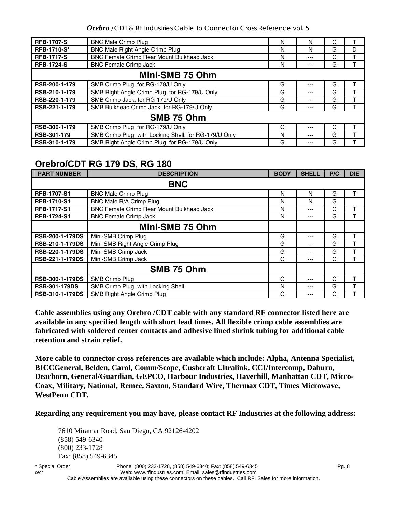*Orebro* /CDT & RF Industries Cable To Connector Cross Reference vol. 5

| <b>RFB-1707-S</b>  | <b>BNC Male Crimp Plug</b>                            | N | N     | G |   |  |  |  |
|--------------------|-------------------------------------------------------|---|-------|---|---|--|--|--|
| <b>RFB-1710-S*</b> | <b>BNC Male Right Angle Crimp Plug</b>                | N | N     | G | D |  |  |  |
| <b>RFB-1717-S</b>  | BNC Female Crimp Rear Mount Bulkhead Jack             | N |       | G |   |  |  |  |
| <b>RFB-1724-S</b>  | <b>BNC Female Crimp Jack</b>                          | N |       | G |   |  |  |  |
| Mini-SMB 75 Ohm    |                                                       |   |       |   |   |  |  |  |
| RSB-200-1-179      | SMB Crimp Plug, for RG-179/U Only                     | G | $---$ | G |   |  |  |  |
| RSB-210-1-179      | SMB Right Angle Crimp Plug, for RG-179/U Only         | G | ---   | G |   |  |  |  |
| RSB-220-1-179      | SMB Crimp Jack, for RG-179/U Only                     | G |       | G |   |  |  |  |
| RSB-221-1-179      | SMB Bulkhead Crimp Jack, for RG-179/U Only            | G | ---   | G |   |  |  |  |
| SMB 75 Ohm         |                                                       |   |       |   |   |  |  |  |
| RSB-300-1-179      | SMB Crimp Plug, for RG-179/U Only                     | G |       | G |   |  |  |  |
| RSB-301-179        | SMB Crimp Plug, with Locking Shell, for RG-179/U Only | N |       | G |   |  |  |  |
| RSB-310-1-179      | SMB Right Angle Crimp Plug, for RG-179/U Only         | G |       | G |   |  |  |  |

### **Orebro/CDT RG 179 DS, RG 180**

| <b>PART NUMBER</b>     | <b>DESCRIPTION</b>                        | <b>BODY</b> | <b>SHELL</b> | P/C | <b>DIE</b> |  |  |  |
|------------------------|-------------------------------------------|-------------|--------------|-----|------------|--|--|--|
| <b>BNC</b>             |                                           |             |              |     |            |  |  |  |
| <b>RFB-1707-S1</b>     | <b>BNC Male Crimp Plug</b>                | N           | N            | G   |            |  |  |  |
| <b>RFB-1710-S1</b>     | BNC Male R/A Crimp Plug                   | N           | N            | G   |            |  |  |  |
| <b>RFB-1717-S1</b>     | BNC Female Crimp Rear Mount Bulkhead Jack | N           | ---          | G   | т          |  |  |  |
| <b>RFB-1724-S1</b>     | <b>BNC Female Crimp Jack</b>              | N           | ---          | G   |            |  |  |  |
|                        | Mini-SMB 75 Ohm                           |             |              |     |            |  |  |  |
| <b>RSB-200-1-179DS</b> | Mini-SMB Crimp Plug                       | G           | ---          | G   |            |  |  |  |
| <b>RSB-210-1-179DS</b> | Mini-SMB Right Angle Crimp Plug           | G           | ---          | G   | т          |  |  |  |
| <b>RSB-220-1-179DS</b> | Mini-SMB Crimp Jack                       | G           | ---          | G   |            |  |  |  |
| RSB-221-1-179DS        | Mini-SMB Crimp Jack                       | G           | ---          | G   |            |  |  |  |
|                        | SMB 75 Ohm                                |             |              |     |            |  |  |  |
| <b>RSB-300-1-179DS</b> | SMB Crimp Plug                            | G           | ---          | G   |            |  |  |  |
| <b>RSB-301-179DS</b>   | SMB Crimp Plug, with Locking Shell        | N           | ---          | G   |            |  |  |  |
| <b>RSB-310-1-179DS</b> | SMB Right Angle Crimp Plug                | G           | ---          | G   |            |  |  |  |

**Cable assemblies using any Orebro /CDT cable with any standard RF connector listed here are available in any specified length with short lead times. All flexible crimp cable assemblies are fabricated with soldered center contacts and adhesive lined shrink tubing for additional cable retention and strain relief.** 

**More cable to connector cross references are available which include: Alpha, Antenna Specialist, BICCGeneral, Belden, Carol, Comm/Scope, Cushcraft Ultralink, CCI/Intercomp, Daburn, Dearborn, General/Guardian, GEPCO, Harbour Industries, Haverhill, Manhattan CDT, Micro-Coax, Military, National, Remee, Saxton, Standard Wire, Thermax CDT, Times Microwave, WestPenn CDT.** 

**Regarding any requirement you may have, please contact RF Industries at the following address:**

7610 Miramar Road, San Diego, CA 92126-4202 (858) 549-6340 (800) 233-1728 Fax: (858) 549-6345